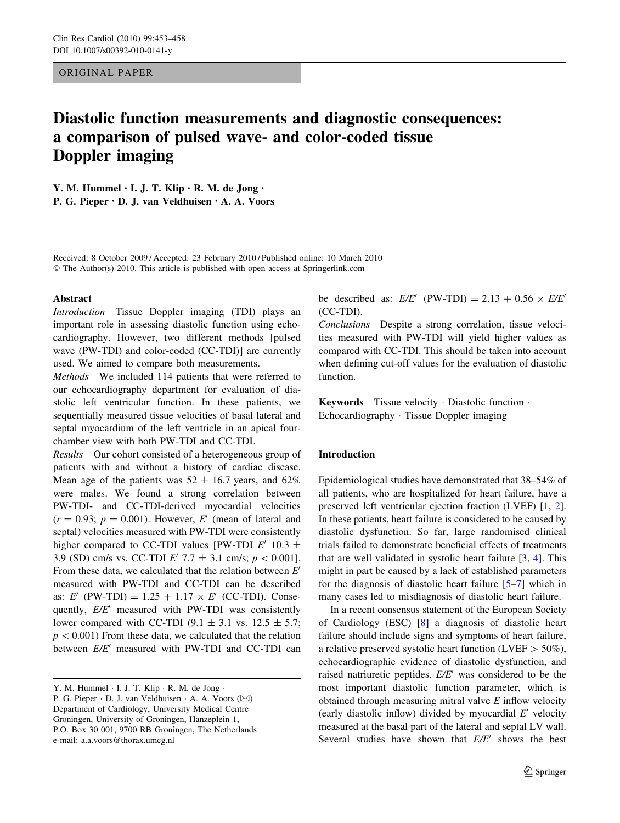# ORIGINAL PAPER

# Diastolic function measurements and diagnostic consequences: a comparison of pulsed wave- and color-coded tissue Doppler imaging

Y. M. Hummel • I. J. T. Klip • R. M. de Jong • P. G. Pieper • D. J. van Veldhuisen • A. A. Voors

Received: 8 October 2009 / Accepted: 23 February 2010 / Published online: 10 March 2010 © The Author(s) 2010. This article is published with open access at Springerlink.com

### Abstract

Introduction Tissue Doppler imaging (TDI) plays an important role in assessing diastolic function using echocardiography. However, two different methods [pulsed wave (PW-TDI) and color-coded (CC-TDI)] are currently used. We aimed to compare both measurements.

Methods We included 114 patients that were referred to our echocardiography department for evaluation of diastolic left ventricular function. In these patients, we sequentially measured tissue velocities of basal lateral and septal myocardium of the left ventricle in an apical fourchamber view with both PW-TDI and CC-TDI.

Results Our cohort consisted of a heterogeneous group of patients with and without a history of cardiac disease. Mean age of the patients was  $52 \pm 16.7$  years, and  $62\%$ were males. We found a strong correlation between PW-TDI- and CC-TDI-derived myocardial velocities  $(r = 0.93; p = 0.001)$ . However, E' (mean of lateral and septal) velocities measured with PW-TDI were consistently higher compared to CC-TDI values [PW-TDI  $E'$  10.3  $\pm$ 3.9 (SD) cm/s vs. CC-TDI  $E'$  7.7  $\pm$  3.1 cm/s;  $p < 0.001$ ]. From these data, we calculated that the relation between  $E'$ measured with PW-TDI and CC-TDI can be described as:  $E'$  (PW-TDI) = 1.25 + 1.17  $\times$  E' (CC-TDI). Consequently,  $E/E'$  measured with PW-TDI was consistently lower compared with CC-TDI (9.1  $\pm$  3.1 vs. 12.5  $\pm$  5.7;  $p<0.001$ ) From these data, we calculated that the relation between  $E/E'$  measured with PW-TDI and CC-TDI can be described as:  $E/E'$  (PW-TDI) = 2.13 + 0.56  $\times E/E'$ (CC-TDI).

Conclusions Despite a strong correlation, tissue velocities measured with PW-TDI will yield higher values as compared with CC-TDI. This should be taken into account when defining cut-off values for the evaluation of diastolic function.

Keywords Tissue velocity - Diastolic function - Echocardiography - Tissue Doppler imaging

# Introduction

Epidemiological studies have demonstrated that 38–54% of all patients, who are hospitalized for heart failure, have a preserved left ventricular ejection fraction (LVEF) [\[1](#page-4-0), [2](#page-4-0)]. In these patients, heart failure is considered to be caused by diastolic dysfunction. So far, large randomised clinical trials failed to demonstrate beneficial effects of treatments that are well validated in systolic heart failure [[3,](#page-4-0) [4](#page-4-0)]. This might in part be caused by a lack of established parameters for the diagnosis of diastolic heart failure [\[5–7](#page-4-0)] which in many cases led to misdiagnosis of diastolic heart failure.

In a recent consensus statement of the European Society of Cardiology (ESC) [\[8](#page-4-0)] a diagnosis of diastolic heart failure should include signs and symptoms of heart failure, a relative preserved systolic heart function (LVEF  $>$  50%), echocardiographic evidence of diastolic dysfunction, and raised natriuretic peptides.  $E/E'$  was considered to be the most important diastolic function parameter, which is obtained through measuring mitral valve  $E$  inflow velocity (early diastolic inflow) divided by myocardial  $E'$  velocity measured at the basal part of the lateral and septal LV wall. Several studies have shown that  $E/E'$  shows the best

Y. M. Hummel · I. J. T. Klip · R. M. de Jong ·

P. G. Pieper  $\cdot$  D. J. van Veldhuisen  $\cdot$  A. A. Voors ( $\boxtimes$ ) Department of Cardiology, University Medical Centre Groningen, University of Groningen, Hanzeplein 1, P.O. Box 30 001, 9700 RB Groningen, The Netherlands e-mail: a.a.voors@thorax.umcg.nl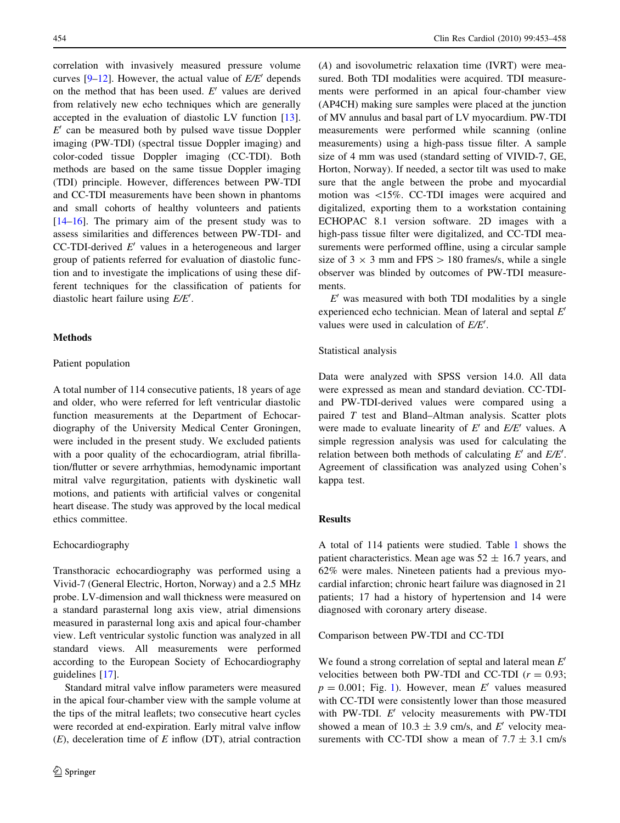correlation with invasively measured pressure volume curves  $[9-12]$  $[9-12]$ . However, the actual value of  $E/E'$  depends on the method that has been used.  $E'$  values are derived from relatively new echo techniques which are generally accepted in the evaluation of diastolic LV function [\[13](#page-5-0)].  $E'$  can be measured both by pulsed wave tissue Doppler imaging (PW-TDI) (spectral tissue Doppler imaging) and color-coded tissue Doppler imaging (CC-TDI). Both methods are based on the same tissue Doppler imaging (TDI) principle. However, differences between PW-TDI and CC-TDI measurements have been shown in phantoms and small cohorts of healthy volunteers and patients [\[14–16](#page-5-0)]. The primary aim of the present study was to assess similarities and differences between PW-TDI- and  $CC-TDI$ -derived  $E'$  values in a heterogeneous and larger group of patients referred for evaluation of diastolic function and to investigate the implications of using these different techniques for the classification of patients for diastolic heart failure using  $E/E'$ .

# **Methods**

# Patient population

A total number of 114 consecutive patients, 18 years of age and older, who were referred for left ventricular diastolic function measurements at the Department of Echocardiography of the University Medical Center Groningen, were included in the present study. We excluded patients with a poor quality of the echocardiogram, atrial fibrillation/flutter or severe arrhythmias, hemodynamic important mitral valve regurgitation, patients with dyskinetic wall motions, and patients with artificial valves or congenital heart disease. The study was approved by the local medical ethics committee.

# Echocardiography

Transthoracic echocardiography was performed using a Vivid-7 (General Electric, Horton, Norway) and a 2.5 MHz probe. LV-dimension and wall thickness were measured on a standard parasternal long axis view, atrial dimensions measured in parasternal long axis and apical four-chamber view. Left ventricular systolic function was analyzed in all standard views. All measurements were performed according to the European Society of Echocardiography guidelines [[17\]](#page-5-0).

Standard mitral valve inflow parameters were measured in the apical four-chamber view with the sample volume at the tips of the mitral leaflets; two consecutive heart cycles were recorded at end-expiration. Early mitral valve inflow  $(E)$ , deceleration time of E inflow (DT), atrial contraction (A) and isovolumetric relaxation time (IVRT) were measured. Both TDI modalities were acquired. TDI measurements were performed in an apical four-chamber view (AP4CH) making sure samples were placed at the junction of MV annulus and basal part of LV myocardium. PW-TDI measurements were performed while scanning (online measurements) using a high-pass tissue filter. A sample size of 4 mm was used (standard setting of VIVID-7, GE, Horton, Norway). If needed, a sector tilt was used to make sure that the angle between the probe and myocardial motion was \15%. CC-TDI images were acquired and digitalized, exporting them to a workstation containing ECHOPAC 8.1 version software. 2D images with a high-pass tissue filter were digitalized, and CC-TDI measurements were performed offline, using a circular sample size of 3  $\times$  3 mm and FPS  $>$  180 frames/s, while a single observer was blinded by outcomes of PW-TDI measurements.

 $E'$  was measured with both TDI modalities by a single experienced echo technician. Mean of lateral and septal  $E'$ values were used in calculation of  $E/E'$ .

# Statistical analysis

Data were analyzed with SPSS version 14.0. All data were expressed as mean and standard deviation. CC-TDIand PW-TDI-derived values were compared using a paired T test and Bland–Altman analysis. Scatter plots were made to evaluate linearity of  $E'$  and  $E/E'$  values. A simple regression analysis was used for calculating the relation between both methods of calculating  $E'$  and  $E/E'$ . Agreement of classification was analyzed using Cohen's kappa test.

# Results

A total of 114 patients were studied. Table [1](#page-2-0) shows the patient characteristics. Mean age was  $52 \pm 16.7$  years, and 62% were males. Nineteen patients had a previous myocardial infarction; chronic heart failure was diagnosed in 21 patients; 17 had a history of hypertension and 14 were diagnosed with coronary artery disease.

Comparison between PW-TDI and CC-TDI

We found a strong correlation of septal and lateral mean  $E'$ velocities between both PW-TDI and CC-TDI  $(r = 0.93;$  $p = 0.001$ ; Fig. [1\)](#page-2-0). However, mean E' values measured with CC-TDI were consistently lower than those measured with PW-TDI.  $E'$  velocity measurements with PW-TDI showed a mean of  $10.3 \pm 3.9$  cm/s, and E' velocity measurements with CC-TDI show a mean of  $7.7 \pm 3.1$  cm/s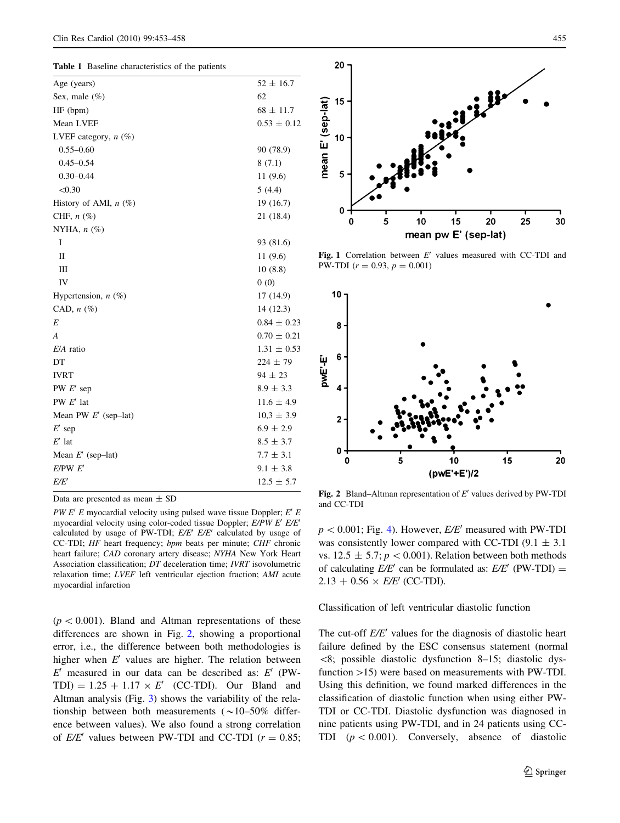<span id="page-2-0"></span>Table 1 Baseline characteristics of the patients

| Age (years)             | $52 \pm 16.7$   |
|-------------------------|-----------------|
| Sex, male $(\%)$        | 62              |
| HF(bpm)                 | $68 \pm 11.7$   |
| Mean LVEF               | $0.53 \pm 0.12$ |
| LVEF category, $n$ (%)  |                 |
| $0.55 - 0.60$           | 90 (78.9)       |
| $0.45 - 0.54$           | 8(7.1)          |
| $0.30 - 0.44$           | 11(9.6)         |
| < 0.30                  | 5(4.4)          |
| History of AMI, $n$ (%) | 19(16.7)        |
| CHF, $n$ $(\%)$         | 21 (18.4)       |
| NYHA, $n$ $(\%)$        |                 |
| I                       | 93 (81.6)       |
| П                       | 11(9.6)         |
| Ш                       | 10(8.8)         |
| IV                      | 0(0)            |
| Hypertension, $n$ (%)   | 17 (14.9)       |
| CAD, $n$ $(\%)$         | 14(12.3)        |
| E                       | $0.84 \pm 0.23$ |
| A                       | $0.70 \pm 0.21$ |
| $E/A$ ratio             | $1.31 \pm 0.53$ |
| DT                      | $224 \pm 79$    |
| <b>IVRT</b>             | $94 \pm 23$     |
| PW $E'$ sep             | $8.9 \pm 3.3$   |
| PW $E'$ lat             | $11.6 \pm 4.9$  |
| Mean PW $E'$ (sep-lat)  | $10,3 \pm 3.9$  |
| $E'$ sep                | $6.9 \pm 2.9$   |
| $E'$ lat                | $8.5\,\pm\,3.7$ |
| Mean $E'$ (sep-lat)     | $7.7 \pm 3.1$   |
| E/PW E'                 | $9.1 \pm 3.8$   |
| E/E'                    | $12.5 \pm 5.7$  |
|                         |                 |

Data are presented as mean ± SD

 $PW E E$  myocardial velocity using pulsed wave tissue Doppler;  $E E E$ myocardial velocity using color-coded tissue Doppler;  $E/PWE'E/E'$ calculated by usage of PW-TDI;  $E/E'$   $E/E'$  calculated by usage of CC-TDI; HF heart frequency; bpm beats per minute; CHF chronic heart failure; CAD coronary artery disease; NYHA New York Heart Association classification; DT deceleration time; IVRT isovolumetric relaxation time; LVEF left ventricular ejection fraction; AMI acute myocardial infarction

 $(p<0.001)$ . Bland and Altman representations of these differences are shown in Fig. 2, showing a proportional error, i.e., the difference between both methodologies is higher when  $E'$  values are higher. The relation between  $E'$  measured in our data can be described as:  $E'$  (PW- $TDI$ ) = 1.25 + 1.17  $\times$  E' (CC-TDI). Our Bland and Altman analysis (Fig. [3\)](#page-3-0) shows the variability of the relationship between both measurements  $(\sim 10-50\%$  difference between values). We also found a strong correlation of  $E/E'$  values between PW-TDI and CC-TDI ( $r = 0.85$ ;



Fig. 1 Correlation between  $E'$  values measured with CC-TDI and PW-TDI  $(r = 0.93, p = 0.001)$ 



Fig. 2 Bland–Altman representation of  $E'$  values derived by PW-TDI and CC-TDI

 $p < 0.001$ ; Fig. [4\)](#page-3-0). However,  $E/E'$  measured with PW-TDI was consistently lower compared with CC-TDI  $(9.1 \pm 3.1)$ vs.  $12.5 \pm 5.7$ ;  $p < 0.001$ ). Relation between both methods of calculating  $E/E'$  can be formulated as:  $E/E'$  (PW-TDI) =  $2.13 + 0.56 \times E/E'$  (CC-TDI).

Classification of left ventricular diastolic function

The cut-off  $E/E'$  values for the diagnosis of diastolic heart failure defined by the ESC consensus statement (normal  $\leq$ 8; possible diastolic dysfunction 8–15; diastolic dysfunction  $>15$ ) were based on measurements with PW-TDI. Using this definition, we found marked differences in the classification of diastolic function when using either PW-TDI or CC-TDI. Diastolic dysfunction was diagnosed in nine patients using PW-TDI, and in 24 patients using CC-TDI ( $p < 0.001$ ). Conversely, absence of diastolic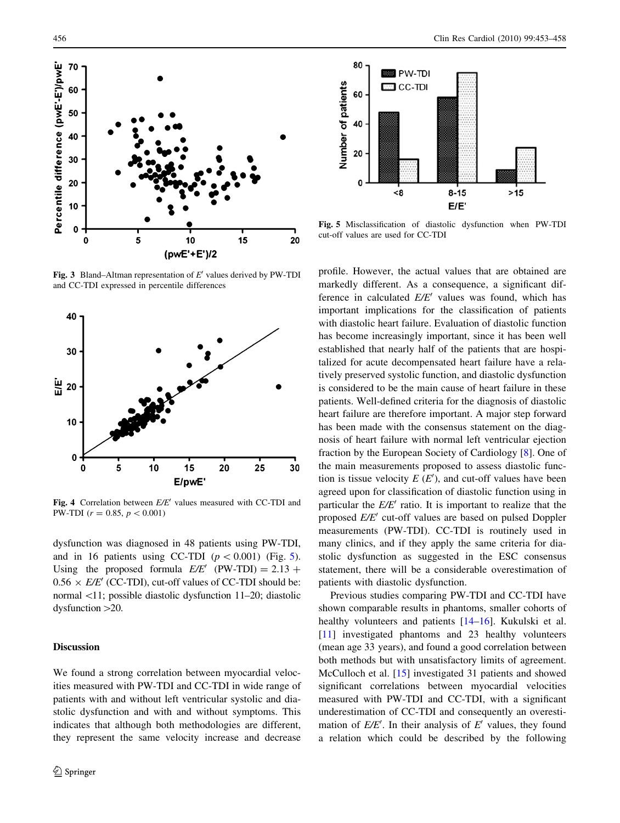<span id="page-3-0"></span>

Fig. 3 Bland–Altman representation of  $E'$  values derived by PW-TDI and CC-TDI expressed in percentile differences



Fig. 4 Correlation between  $E/E'$  values measured with CC-TDI and PW-TDI ( $r = 0.85$ ,  $p < 0.001$ )

dysfunction was diagnosed in 48 patients using PW-TDI, and in 16 patients using CC-TDI  $(p < 0.001)$  (Fig. 5). Using the proposed formula  $E/E'$  (PW-TDI) = 2.13 +  $0.56 \times E/E'$  (CC-TDI), cut-off values of CC-TDI should be: normal <11; possible diastolic dysfunction 11–20; diastolic  $dysfunction > 20$ .

## Discussion

We found a strong correlation between myocardial velocities measured with PW-TDI and CC-TDI in wide range of patients with and without left ventricular systolic and diastolic dysfunction and with and without symptoms. This indicates that although both methodologies are different, they represent the same velocity increase and decrease



Fig. 5 Misclassification of diastolic dysfunction when PW-TDI cut-off values are used for CC-TDI

profile. However, the actual values that are obtained are markedly different. As a consequence, a significant difference in calculated  $E/E'$  values was found, which has important implications for the classification of patients with diastolic heart failure. Evaluation of diastolic function has become increasingly important, since it has been well established that nearly half of the patients that are hospitalized for acute decompensated heart failure have a relatively preserved systolic function, and diastolic dysfunction is considered to be the main cause of heart failure in these patients. Well-defined criteria for the diagnosis of diastolic heart failure are therefore important. A major step forward has been made with the consensus statement on the diagnosis of heart failure with normal left ventricular ejection fraction by the European Society of Cardiology [\[8](#page-4-0)]. One of the main measurements proposed to assess diastolic function is tissue velocity  $E(E')$ , and cut-off values have been agreed upon for classification of diastolic function using in particular the  $E/E'$  ratio. It is important to realize that the proposed  $E/E'$  cut-off values are based on pulsed Doppler measurements (PW-TDI). CC-TDI is routinely used in many clinics, and if they apply the same criteria for diastolic dysfunction as suggested in the ESC consensus statement, there will be a considerable overestimation of patients with diastolic dysfunction.

Previous studies comparing PW-TDI and CC-TDI have shown comparable results in phantoms, smaller cohorts of healthy volunteers and patients [\[14–16](#page-5-0)]. Kukulski et al. [\[11](#page-4-0)] investigated phantoms and 23 healthy volunteers (mean age 33 years), and found a good correlation between both methods but with unsatisfactory limits of agreement. McCulloch et al. [[15\]](#page-5-0) investigated 31 patients and showed significant correlations between myocardial velocities measured with PW-TDI and CC-TDI, with a significant underestimation of CC-TDI and consequently an overestimation of  $E/E'$ . In their analysis of  $E'$  values, they found a relation which could be described by the following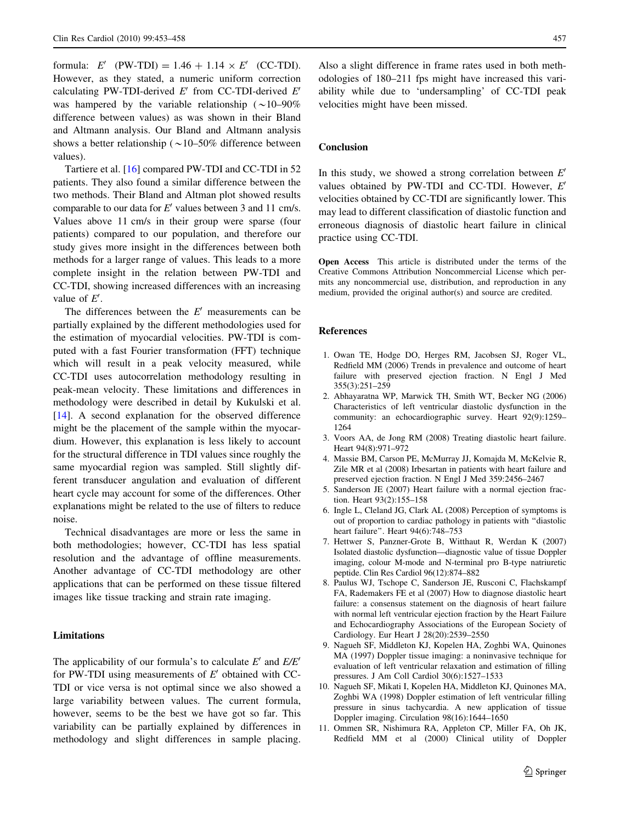<span id="page-4-0"></span>formula:  $E'$  (PW-TDI) = 1.46 + 1.14  $\times$  E' (CC-TDI). However, as they stated, a numeric uniform correction calculating PW-TDI-derived  $E'$  from CC-TDI-derived  $E'$ was hampered by the variable relationship  $(\sim10-90\%$ difference between values) as was shown in their Bland and Altmann analysis. Our Bland and Altmann analysis shows a better relationship ( $\sim$ 10–50% difference between values).

Tartiere et al. [[16\]](#page-5-0) compared PW-TDI and CC-TDI in 52 patients. They also found a similar difference between the two methods. Their Bland and Altman plot showed results comparable to our data for  $E'$  values between 3 and 11 cm/s. Values above 11 cm/s in their group were sparse (four patients) compared to our population, and therefore our study gives more insight in the differences between both methods for a larger range of values. This leads to a more complete insight in the relation between PW-TDI and CC-TDI, showing increased differences with an increasing value of  $E'$ .

The differences between the  $E'$  measurements can be partially explained by the different methodologies used for the estimation of myocardial velocities. PW-TDI is computed with a fast Fourier transformation (FFT) technique which will result in a peak velocity measured, while CC-TDI uses autocorrelation methodology resulting in peak-mean velocity. These limitations and differences in methodology were described in detail by Kukulski et al.  $[14]$  $[14]$ . A second explanation for the observed difference might be the placement of the sample within the myocardium. However, this explanation is less likely to account for the structural difference in TDI values since roughly the same myocardial region was sampled. Still slightly different transducer angulation and evaluation of different heart cycle may account for some of the differences. Other explanations might be related to the use of filters to reduce noise.

Technical disadvantages are more or less the same in both methodologies; however, CC-TDI has less spatial resolution and the advantage of offline measurements. Another advantage of CC-TDI methodology are other applications that can be performed on these tissue filtered images like tissue tracking and strain rate imaging.

## Limitations

The applicability of our formula's to calculate  $E'$  and  $E/E'$ for PW-TDI using measurements of  $E'$  obtained with CC-TDI or vice versa is not optimal since we also showed a large variability between values. The current formula, however, seems to be the best we have got so far. This variability can be partially explained by differences in methodology and slight differences in sample placing.

Also a slight difference in frame rates used in both methodologies of 180–211 fps might have increased this variability while due to 'undersampling' of CC-TDI peak velocities might have been missed.

# **Conclusion**

In this study, we showed a strong correlation between  $E'$ values obtained by PW-TDI and CC-TDI. However,  $E'$ velocities obtained by CC-TDI are significantly lower. This may lead to different classification of diastolic function and erroneous diagnosis of diastolic heart failure in clinical practice using CC-TDI.

Open Access This article is distributed under the terms of the Creative Commons Attribution Noncommercial License which permits any noncommercial use, distribution, and reproduction in any medium, provided the original author(s) and source are credited.

#### References

- 1. Owan TE, Hodge DO, Herges RM, Jacobsen SJ, Roger VL, Redfield MM (2006) Trends in prevalence and outcome of heart failure with preserved ejection fraction. N Engl J Med 355(3):251–259
- 2. Abhayaratna WP, Marwick TH, Smith WT, Becker NG (2006) Characteristics of left ventricular diastolic dysfunction in the community: an echocardiographic survey. Heart 92(9):1259– 1264
- 3. Voors AA, de Jong RM (2008) Treating diastolic heart failure. Heart 94(8):971–972
- 4. Massie BM, Carson PE, McMurray JJ, Komajda M, McKelvie R, Zile MR et al (2008) Irbesartan in patients with heart failure and preserved ejection fraction. N Engl J Med 359:2456–2467
- 5. Sanderson JE (2007) Heart failure with a normal ejection fraction. Heart 93(2):155–158
- 6. Ingle L, Cleland JG, Clark AL (2008) Perception of symptoms is out of proportion to cardiac pathology in patients with ''diastolic heart failure''. Heart 94(6):748–753
- 7. Hettwer S, Panzner-Grote B, Witthaut R, Werdan K (2007) Isolated diastolic dysfunction—diagnostic value of tissue Doppler imaging, colour M-mode and N-terminal pro B-type natriuretic peptide. Clin Res Cardiol 96(12):874–882
- 8. Paulus WJ, Tschope C, Sanderson JE, Rusconi C, Flachskampf FA, Rademakers FE et al (2007) How to diagnose diastolic heart failure: a consensus statement on the diagnosis of heart failure with normal left ventricular ejection fraction by the Heart Failure and Echocardiography Associations of the European Society of Cardiology. Eur Heart J 28(20):2539–2550
- 9. Nagueh SF, Middleton KJ, Kopelen HA, Zoghbi WA, Quinones MA (1997) Doppler tissue imaging: a noninvasive technique for evaluation of left ventricular relaxation and estimation of filling pressures. J Am Coll Cardiol 30(6):1527–1533
- 10. Nagueh SF, Mikati I, Kopelen HA, Middleton KJ, Quinones MA, Zoghbi WA (1998) Doppler estimation of left ventricular filling pressure in sinus tachycardia. A new application of tissue Doppler imaging. Circulation 98(16):1644–1650
- 11. Ommen SR, Nishimura RA, Appleton CP, Miller FA, Oh JK, Redfield MM et al (2000) Clinical utility of Doppler